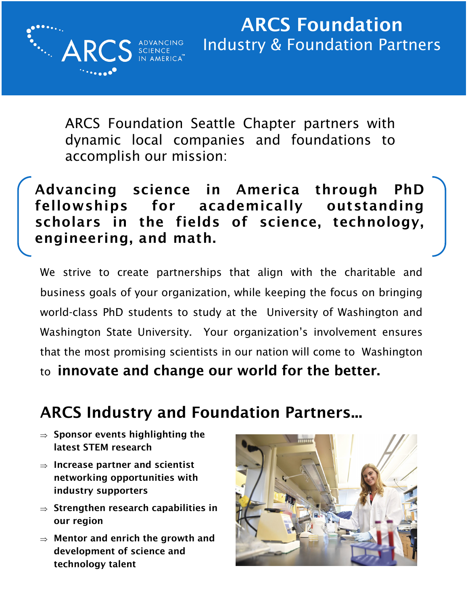ARCS Foundation Seattle Chapter partners with dynamic local companies and foundations to accomplish our mission:

Advancing science in America through PhD fellowships for academically outstanding scholars in the fields of science, technology, engineering, and math.

We strive to create partnerships that align with the charitable and business goals of your organization, while keeping the focus on bringing world-class PhD students to study at the University of Washington and Washington State University. Your organization's involvement ensures that the most promising scientists in our nation will come to Washington to innovate and change our world for the better.

### ARCS Industry and Foundation Partners...

 $\Rightarrow$  Sponsor events highlighting the latest STEM research

**A** 

- $\Rightarrow$  Increase partner and scientist networking opportunities with industry supporters
- $\Rightarrow$  Strengthen research capabilities in our region
- $\Rightarrow$  Mentor and enrich the growth and development of science and technology talent

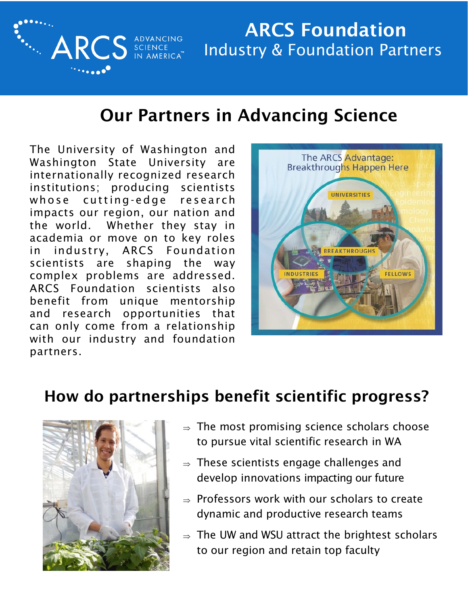

# ARCS Foundation Industry & Foundation Partners

## Our Partners in Advancing Science

The University of Washington and Washington State University are internationally recognized research institutions; producing scientists whose cutting-edge research impacts our region, our nation and the world. Whether they stay in academia or move on to key roles in industry, ARCS Foundation scientists are shaping the way complex problems are addressed. ARCS Foundation scientists also benefit from unique mentorship and research opportunities that can only come from a relationship with our industry and foundation partners.



### How do partnerships benefit scientific progress?



- $\Rightarrow$  The most promising science scholars choose to pursue vital scientific research in WA
- $\Rightarrow$  These scientists engage challenges and develop innovations impacting our future
- $\rightarrow$  Professors work with our scholars to create dynamic and productive research teams
- $\Rightarrow$  The UW and WSU attract the brightest scholars to our region and retain top faculty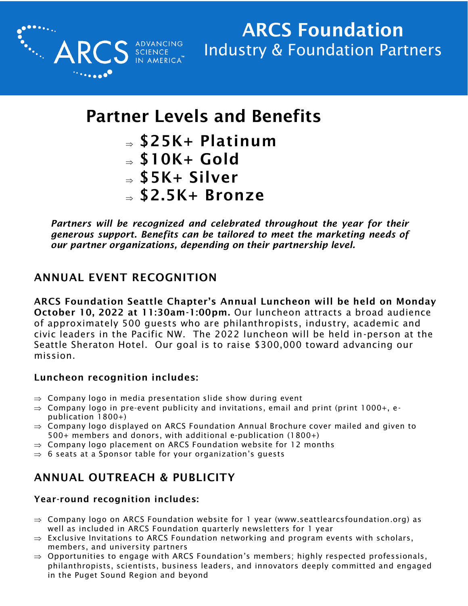

# Partner Levels and Benefits

- $\Rightarrow$  \$25K+ Platinum
- $\Rightarrow$  \$10K+ Gold
- $\Rightarrow$  \$5K+ Silver
- $\Rightarrow$  \$2.5K+ Bronze

*Partners will be recognized and celebrated throughout the year for their generous support. Benefits can be tailored to meet the marketing needs of our partner organizations, depending on their partnership level.*

### ANNUAL EVENT RECOGNITION

ARCS Foundation Seattle Chapter's Annual Luncheon will be held on Monday October 10, 2022 at 11:30am-1:00pm. Our luncheon attracts a broad audience of approximately 500 guests who are philanthropists, industry, academic and civic leaders in the Pacific NW. The 2022 luncheon will be held in-person at the Seattle Sheraton Hotel. Our goal is to raise \$300,000 toward advancing our mission.

#### Luncheon recognition includes:

- $\Rightarrow$  Company logo in media presentation slide show during event
- $\Rightarrow$  Company logo in pre-event publicity and invitations, email and print (print 1000+, epublication 1800+)
- $\Rightarrow$  Company logo displayed on ARCS Foundation Annual Brochure cover mailed and given to 500+ members and donors, with additional e-publication (1800+)
- $\Rightarrow$  Company logo placement on ARCS Foundation website for 12 months
- $\Rightarrow$  6 seats at a Sponsor table for your organization's guests

### ANNUAL OUTREACH & PUBLICITY

#### Year-round recognition includes:

- $\Rightarrow$  Company logo on ARCS Foundation website for 1 year (www.seattlearcsfoundation.org) as well as included in ARCS Foundation quarterly newsletters for 1 year
- $\Rightarrow$  Exclusive Invitations to ARCS Foundation networking and program events with scholars, members, and university partners
- $\Rightarrow$  Opportunities to engage with ARCS Foundation's members; highly respected professionals, philanthropists, scientists, business leaders, and innovators deeply committed and engaged in the Puget Sound Region and beyond